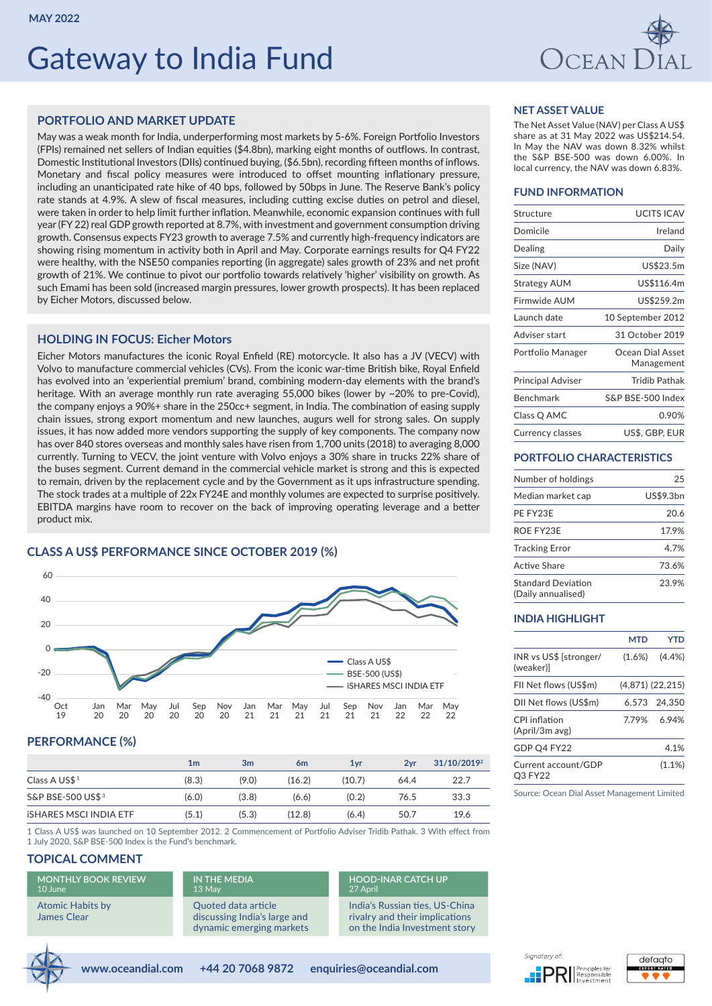# Gateway to India Fund



## **PORTFOLIO AND MARKET UPDATE**

May was a weak month for India, underperforming most markets by 5-6%. Foreign Portfolio Investors (FPIs) remained net sellers of Indian equities (\$4.8bn), marking eight months of outflows. In contrast, Domestic Institutional Investors (DIIs) continued buying, (\$6.5bn), recording fifteen months of inflows. Monetary and fiscal policy measures were introduced to offset mounting inflationary pressure, including an unanticipated rate hike of 40 bps, followed by 50bps in June. The Reserve Bank's policy rate stands at 4.9%. A slew of fiscal measures, including cutting excise duties on petrol and diesel, were taken in order to help limit further inflation. Meanwhile, economic expansion continues with full year (FY 22) real GDP growth reported at 8.7%, with investment and government consumption driving growth. Consensus expects FY23 growth to average 7.5% and currently high-frequency indicators are showing rising momentum in activity both in April and May. Corporate earnings results for Q4 FY22 were healthy, with the NSE50 companies reporting (in aggregate) sales growth of 23% and net profit growth of 21%. We continue to pivot our portfolio towards relatively 'higher' visibility on growth. As such Emami has been sold (increased margin pressures, lower growth prospects). It has been replaced by Eicher Motors, discussed below.

## **HOLDING IN FOCUS: Eicher Motors**

Eicher Motors manufactures the iconic Royal Enfield (RE) motorcycle. It also has a JV (VECV) with Volvo to manufacture commercial vehicles (CVs). From the iconic war-time British bike, Royal Enfield has evolved into an 'experiential premium' brand, combining modern-day elements with the brand's heritage. With an average monthly run rate averaging 55,000 bikes (lower by ~20% to pre-Covid), the company enjoys a 90%+ share in the 250cc+ segment, in India. The combination of easing supply chain issues, strong export momentum and new launches, augurs well for strong sales. On supply issues, it has now added more vendors supporting the supply of key components. The company now has over 840 stores overseas and monthly sales have risen from 1,700 units (2018) to averaging 8,000 currently. Turning to VECV, the joint venture with Volvo enjoys a 30% share in trucks 22% share of the buses segment. Current demand in the commercial vehicle market is strong and this is expected to remain, driven by the replacement cycle and by the Government as it ups infrastructure spending. The stock trades at a multiple of 22x FY24E and monthly volumes are expected to surprise positively. EBITDA margins have room to recover on the back of improving operating leverage and a better product mix.

## **CLASS A US\$ PERFORMANCE SINCE OCTOBER 2019 (%)**



## **PERFORMANCE (%)**

|                              | 1 <sub>m</sub> | 3m    | 6 <sub>m</sub> | 1 <sub>vr</sub> | 2vr  | 31/10/2019 <sup>2</sup> |
|------------------------------|----------------|-------|----------------|-----------------|------|-------------------------|
| Class A US\$ <sup>1</sup>    | (8.3)          | (9.0) | (16.2)         | (10.7)          | 64.4 | 22.7                    |
| S&P BSE-500 US\$ 3           | (6.0)          | (3.8) | (6.6)          | (0.2)           | 76.5 | 33.3                    |
| <b>ISHARES MSCLINDIA ETF</b> | (5.1)          | (5.3) | (12.8)         | (6.4)           | 50.7 | 19.6                    |

1 Class A US\$ was launched on 10 September 2012. 2 Commencement of Portfolio Adviser Tridib Pathak. 3 With effect from 1 July 2020, S&P BSE-500 Index is the Fund's benchmark.

## **TOPICAL COMMENT**

**[MONTHLY BOOK REVIEW](https://www.oceandial.com/research_hub/atomic-habits-2/)** [10 June](https://www.oceandial.com/research_hub/atomic-habits-2/) [Atomic Habits by](https://www.oceandial.com/research_hub/atomic-habits-2/) [James Clear](https://www.oceandial.com/research_hub/atomic-habits-2/)

## **[IN THE MEDIA](https://quoteddata.com/2022/05/qd-view-delhis-dilemma-navigating-regions-geopolitics/)** [13 May](https://quoteddata.com/2022/05/qd-view-delhis-dilemma-navigating-regions-geopolitics/) [Quoted data article](https://quoteddata.com/2022/05/qd-view-delhis-dilemma-navigating-regions-geopolitics/)

[discussing India's large and](https://quoteddata.com/2022/05/qd-view-delhis-dilemma-navigating-regions-geopolitics/)  [dynamic emerging markets](https://quoteddata.com/2022/05/qd-view-delhis-dilemma-navigating-regions-geopolitics/)

## **[HOOD-INAR CATCH UP](https://www.youtube.com/watch?v=lq6_8WKeb90)** [27 April](https://www.youtube.com/watch?v=lq6_8WKeb90)

[India's Russian ties, US-China](https://www.youtube.com/watch?v=lq6_8WKeb90)  [rivalry and their implications](https://www.youtube.com/watch?v=lq6_8WKeb90)  [on the India Investment story](https://www.youtube.com/watch?v=lq6_8WKeb90)



## Sianatory of



## **NET ASSET VALUE**

The Net Asset Value (NAV) per Class A US\$ share as at 31 May 2022 was US\$214.54. In May the NAV was down 8.32% whilst the S&P BSE-500 was down 6.00%. In local currency, the NAV was down 6.83%.

## **FUND INFORMATION**

| Structure                | <b>UCITS ICAV</b>              |
|--------------------------|--------------------------------|
| Domicile                 | Ireland                        |
| Dealing                  | Daily                          |
| Size (NAV)               | US\$23.5m                      |
| Strategy AUM             | US\$116.4m                     |
| Firmwide AUM             | US\$259.2m                     |
| Launch date              | 10 September 2012              |
| Adviser start            | 31 October 2019                |
| Portfolio Manager        | Ocean Dial Asset<br>Management |
| <b>Principal Adviser</b> | <b>Tridib Pathak</b>           |
| Benchmark                | S&P BSE-500 Index              |
| Class Q AMC              | 0.90%                          |
| Currency classes         | US\$, GBP, EUR                 |

### **PORTFOLIO CHARACTERISTICS**

| Number of holdings                              | 25        |
|-------------------------------------------------|-----------|
| Median market cap                               | US\$9.3bn |
| PE FY23E                                        | 20.6      |
| ROE FY23E                                       | 17.9%     |
| <b>Tracking Error</b>                           | 4.7%      |
| Active Share                                    | 73.6%     |
| <b>Standard Deviation</b><br>(Daily annualised) | 23.9%     |

#### **INDIA HIGHLIGHT**

|                                     | <b>MTD</b> | YTD                  |
|-------------------------------------|------------|----------------------|
| INR vs US\$ [stronger/<br>(weaker)] | $(1.6\%)$  | (4.4% )              |
| FII Net flows (US\$m)               |            | $(4,871)$ $(22,215)$ |
| DII Net flows (US\$m)               |            | 6.573 24.350         |
| CPI inflation<br>(April/3m avg)     | 7.79%      | 6.94%                |
| GDP Q4 FY22                         |            | 4.1%                 |
| Current account/GDP<br>O3 FY22      |            | $(1.1\%)$            |

Source: Ocean Dial Asset Management Limited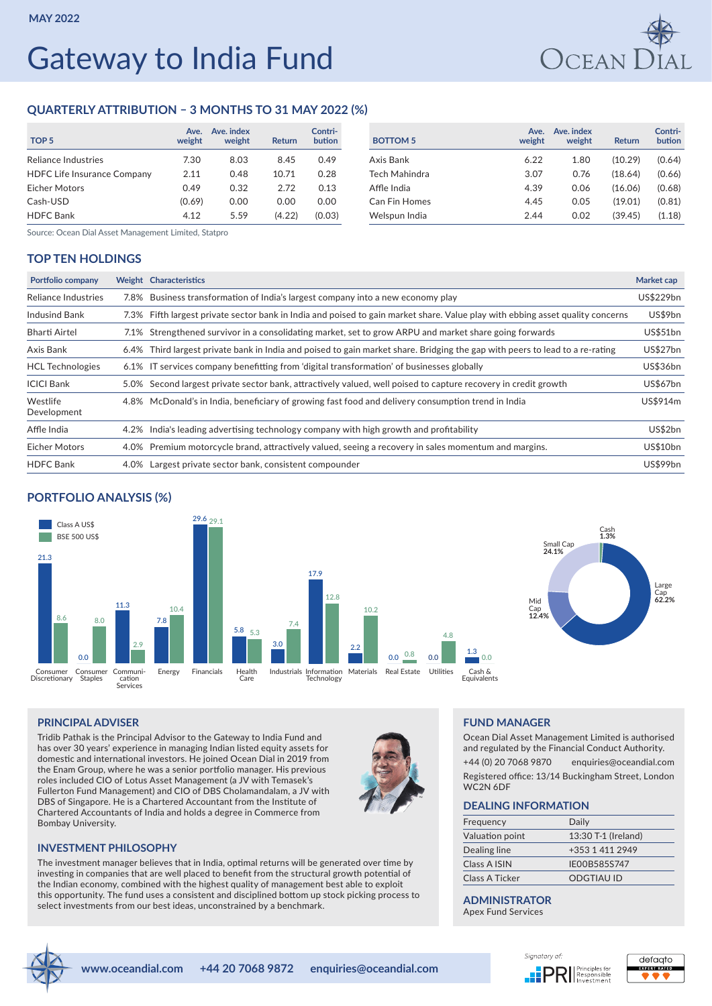# Gateway to India Fund



## **QUARTERLY ATTRIBUTION – 3 MONTHS TO 31 MAY 2022 (%)**

| TOP <sub>5</sub>                   | Ave.<br>weight | Ave. index<br>weight | <b>Return</b> | Contri-<br>bution | <b>BOTTOM 5</b>      | Ave.<br>weight | Ave. index<br>weight | Return  | Contri<br>butior |
|------------------------------------|----------------|----------------------|---------------|-------------------|----------------------|----------------|----------------------|---------|------------------|
| Reliance Industries                | 7.30           | 8.03                 | 8.45          | 0.49              | Axis Bank            | 6.22           | 1.80                 | (10.29) | (0.64)           |
| <b>HDFC Life Insurance Company</b> | 2.11           | 0.48                 | 10.71         | 0.28              | Tech Mahindra        | 3.07           | 0.76                 | (18.64) | (0.66)           |
| <b>Eicher Motors</b>               | 0.49           | 0.32                 | 2.72          | 0.13              | Affle India          | 4.39           | 0.06                 | (16.06) | (0.68)           |
| Cash-USD                           | (0.69)         | 0.00                 | 0.00          | 0.00              | <b>Can Fin Homes</b> | 4.45           | 0.05                 | (19.01) | (0.81)           |
| <b>HDFC Bank</b>                   | 4.12           | 5.59                 | (4.22)        | (0.03)            | Welspun India        | 2.44           | 0.02                 | (39.45) | (1.18)           |

| Contri-<br>bution | <b>BOTTOM 5</b>      | Ave.<br>weight | Ave. index<br>weight | <b>Return</b> | Contri-<br>bution |
|-------------------|----------------------|----------------|----------------------|---------------|-------------------|
| 0.49              | Axis Bank            | 6.22           | 1.80                 | (10.29)       | (0.64)            |
| 0.28              | Tech Mahindra        | 3.07           | 0.76                 | (18.64)       | (0.66)            |
| 0.13              | Affle India          | 4.39           | 0.06                 | (16.06)       | (0.68)            |
| 0.00              | <b>Can Fin Homes</b> | 4.45           | 0.05                 | (19.01)       | (0.81)            |
| (0.03)            | Welspun India        | 2.44           | 0.02                 | (39.45)       | (1.18)            |

Source: Ocean Dial Asset Management Limited, Statpro

## **TOP TEN HOLDINGS**

| Portfolio company       |      | Weight Characteristics                                                                                                         | Market cap      |
|-------------------------|------|--------------------------------------------------------------------------------------------------------------------------------|-----------------|
| Reliance Industries     |      | 7.8% Business transformation of India's largest company into a new economy play                                                | US\$229bn       |
| <b>Indusind Bank</b>    |      | 7.3% Fifth largest private sector bank in India and poised to gain market share. Value play with ebbing asset quality concerns | US\$9bn         |
| <b>Bharti Airtel</b>    |      | 7.1% Strengthened survivor in a consolidating market, set to grow ARPU and market share going forwards                         | US\$51bn        |
| Axis Bank               |      | 6.4% Third largest private bank in India and poised to gain market share. Bridging the gap with peers to lead to a re-rating   | US\$27bn        |
| <b>HCL Technologies</b> |      | 6.1% IT services company benefitting from 'digital transformation' of businesses globally                                      | <b>US\$36bn</b> |
| <b>ICICI Bank</b>       |      | 5.0% Second largest private sector bank, attractively valued, well poised to capture recovery in credit growth                 | <b>US\$67bn</b> |
| Westlife<br>Development |      | 4.8% McDonald's in India, beneficiary of growing fast food and delivery consumption trend in India                             | US\$914m        |
| Affle India             |      | 4.2% India's leading advertising technology company with high growth and profitability                                         | US\$2bn         |
| <b>Eicher Motors</b>    |      | 4.0% Premium motorcycle brand, attractively valued, seeing a recovery in sales momentum and margins.                           | <b>US\$10bn</b> |
| <b>HDFC</b> Bank        | 4.0% | Largest private sector bank, consistent compounder                                                                             | <b>US\$99bn</b> |

## **PORTFOLIO ANALYSIS (%)**



## **PRINCIPAL ADVISER**

Tridib Pathak is the Principal Advisor to the Gateway to India Fund and has over 30 years' experience in managing Indian listed equity assets for domestic and international investors. He joined Ocean Dial in 2019 from the Enam Group, where he was a senior portfolio manager. His previous roles included CIO of Lotus Asset Management (a JV with Temasek's Fullerton Fund Management) and CIO of DBS Cholamandalam, a JV with DBS of Singapore. He is a Chartered Accountant from the Institute of Chartered Accountants of India and holds a degree in Commerce from Bombay University.

## **INVESTMENT PHILOSOPHY**

The investment manager believes that in India, optimal returns will be generated over time by investing in companies that are well placed to benefit from the structural growth potential of the Indian economy, combined with the highest quality of management best able to exploit this opportunity. The fund uses a consistent and disciplined bottom up stock picking process to select investments from our best ideas, unconstrained by a benchmark.

### **FUND MANAGER**

Ocean Dial Asset Management Limited is authorised and regulated by the Financial Conduct Authority. +44 (0) 20 7068 9870 enquiries@oceandial.com Registered office: 13/14 Buckingham Street, London WC2N 6DF

#### **DEALING INFORMATION**

| Frequency       | Daily               |
|-----------------|---------------------|
| Valuation point | 13:30 T-1 (Ireland) |
| Dealing line    | +353 1 411 2949     |
| Class A ISIN    | IE00B585S747        |
| Class A Ticker  | ODGTIAU ID          |

## **ADMINISTRATOR**

Apex Fund Services